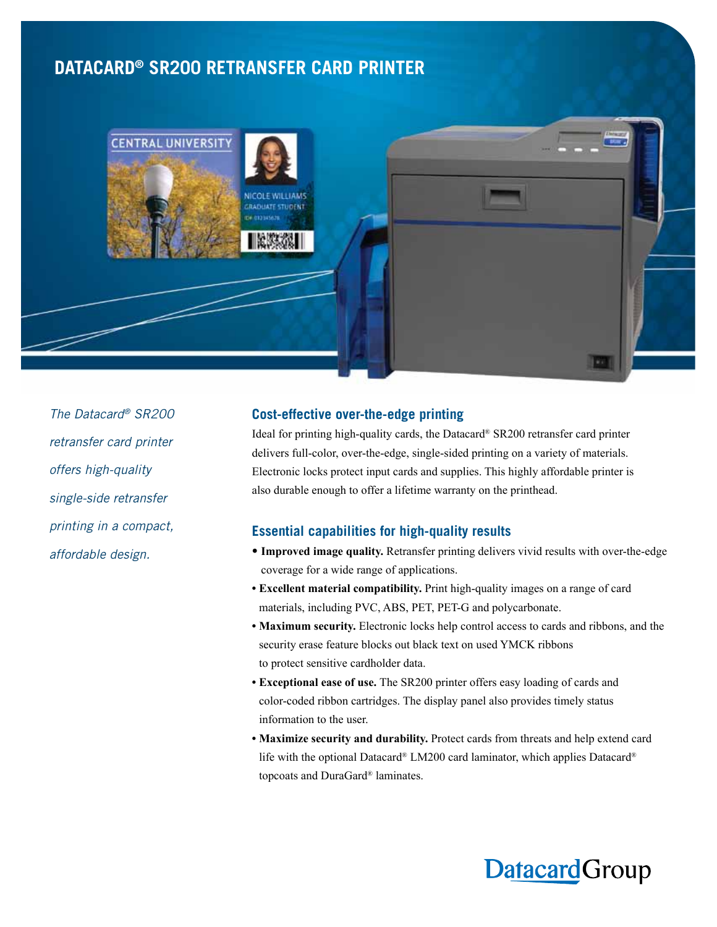## **DATACARD® SR200 RETRANSFER CARD PRINTER**



*The Datacard® SR200 retransfer card printer offers high-quality single-side retransfer printing in a compact, affordable design.*

## **Cost-effective over-the-edge printing**

Ideal for printing high-quality cards, the Datacard® SR200 retransfer card printer delivers full-color, over-the-edge, single-sided printing on a variety of materials. Electronic locks protect input cards and supplies. This highly affordable printer is also durable enough to offer a lifetime warranty on the printhead.

## **Essential capabilities for high-quality results**

- **• Improved image quality.** Retransfer printing delivers vivid results with over-the-edge coverage for a wide range of applications.
- **• Excellent material compatibility.** Print high-quality images on a range of card materials, including PVC, ABS, PET, PET-G and polycarbonate.
- **• Maximum security.** Electronic locks help control access to cards and ribbons, and the security erase feature blocks out black text on used YMCK ribbons to protect sensitive cardholder data.
- **• Exceptional ease of use.** The SR200 printer offers easy loading of cards and color-coded ribbon cartridges. The display panel also provides timely status information to the user.
- **• Maximize security and durability.** Protect cards from threats and help extend card life with the optional Datacard® LM200 card laminator, which applies Datacard® topcoats and DuraGard® laminates.